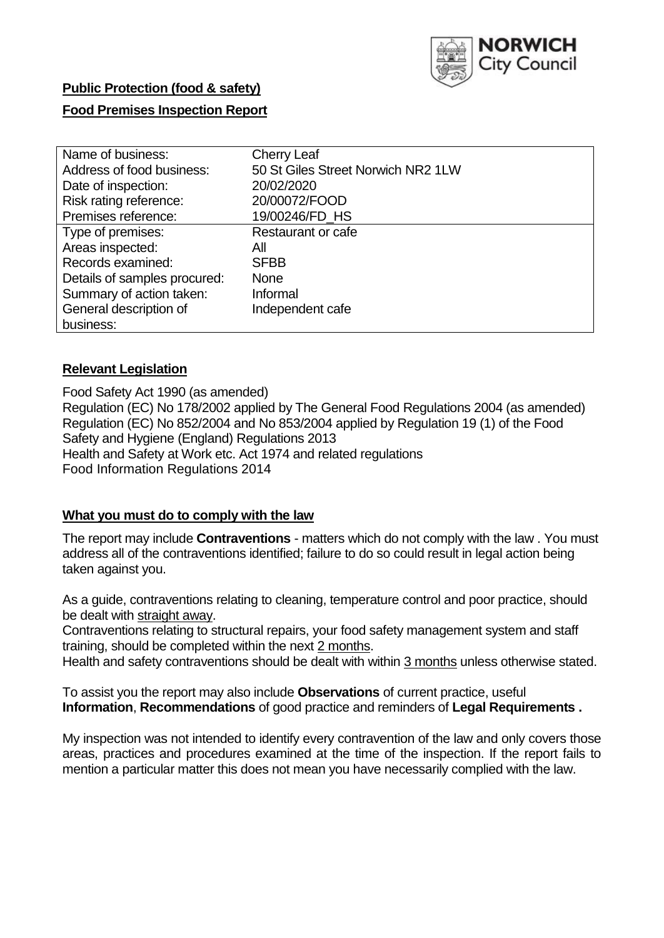

# **Public Protection (food & safety)**

### **Food Premises Inspection Report**

| Name of business:            | <b>Cherry Leaf</b>                 |
|------------------------------|------------------------------------|
| Address of food business:    | 50 St Giles Street Norwich NR2 1LW |
| Date of inspection:          | 20/02/2020                         |
| Risk rating reference:       | 20/00072/FOOD                      |
| Premises reference:          | 19/00246/FD HS                     |
| Type of premises:            | Restaurant or cafe                 |
| Areas inspected:             | All                                |
| Records examined:            | <b>SFBB</b>                        |
| Details of samples procured: | <b>None</b>                        |
| Summary of action taken:     | Informal                           |
| General description of       | Independent cafe                   |
| business:                    |                                    |

#### **Relevant Legislation**

Food Safety Act 1990 (as amended) Regulation (EC) No 178/2002 applied by The General Food Regulations 2004 (as amended) Regulation (EC) No 852/2004 and No 853/2004 applied by Regulation 19 (1) of the Food Safety and Hygiene (England) Regulations 2013 Health and Safety at Work etc. Act 1974 and related regulations Food Information Regulations 2014

#### **What you must do to comply with the law**

The report may include **Contraventions** - matters which do not comply with the law . You must address all of the contraventions identified; failure to do so could result in legal action being taken against you.

As a guide, contraventions relating to cleaning, temperature control and poor practice, should be dealt with straight away.

Contraventions relating to structural repairs, your food safety management system and staff training, should be completed within the next 2 months.

Health and safety contraventions should be dealt with within 3 months unless otherwise stated.

To assist you the report may also include **Observations** of current practice, useful **Information**, **Recommendations** of good practice and reminders of **Legal Requirements .**

My inspection was not intended to identify every contravention of the law and only covers those areas, practices and procedures examined at the time of the inspection. If the report fails to mention a particular matter this does not mean you have necessarily complied with the law.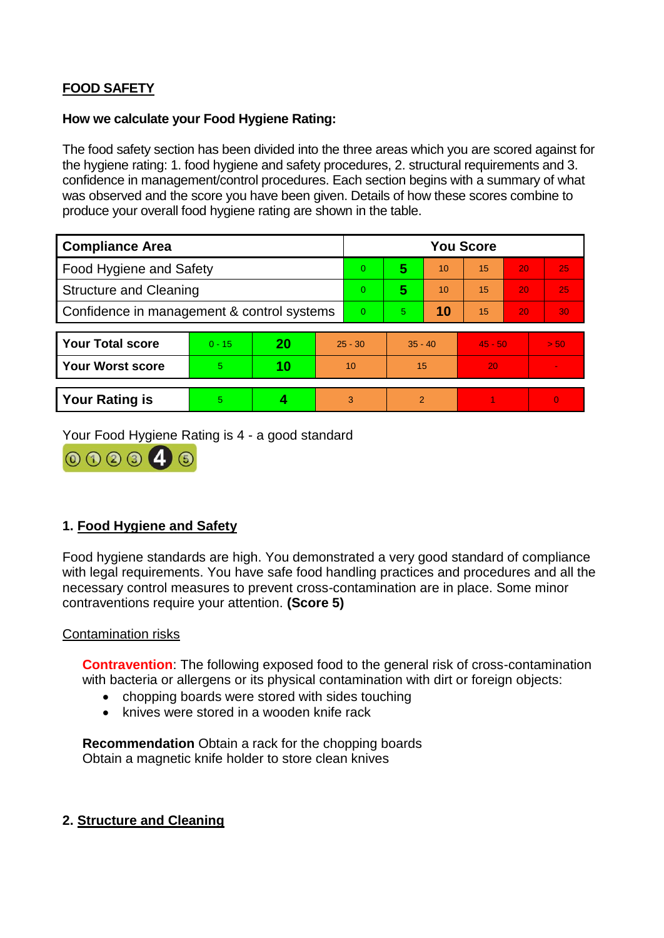## **FOOD SAFETY**

### **How we calculate your Food Hygiene Rating:**

The food safety section has been divided into the three areas which you are scored against for the hygiene rating: 1. food hygiene and safety procedures, 2. structural requirements and 3. confidence in management/control procedures. Each section begins with a summary of what was observed and the score you have been given. Details of how these scores combine to produce your overall food hygiene rating are shown in the table.

| <b>Compliance Area</b>                     |          |    |           | <b>You Score</b> |                |    |           |    |          |  |  |
|--------------------------------------------|----------|----|-----------|------------------|----------------|----|-----------|----|----------|--|--|
| Food Hygiene and Safety                    |          |    |           | $\Omega$         | 5              | 10 | 15        | 20 | 25       |  |  |
| <b>Structure and Cleaning</b>              |          |    |           | $\Omega$         | 5              | 10 | 15        | 20 | 25       |  |  |
| Confidence in management & control systems |          |    | $\Omega$  | 5                | 10             | 15 | 20        | 30 |          |  |  |
|                                            |          |    |           |                  |                |    |           |    |          |  |  |
| <b>Your Total score</b>                    | $0 - 15$ | 20 | $25 - 30$ |                  | $35 - 40$      |    | $45 - 50$ |    | > 50     |  |  |
| <b>Your Worst score</b>                    | 5.       | 10 | 10        |                  | 15             |    | 20        |    |          |  |  |
|                                            |          |    |           |                  |                |    |           |    |          |  |  |
| <b>Your Rating is</b>                      | 5        |    |           | 3                | $\overline{2}$ |    |           |    | $\Omega$ |  |  |

Your Food Hygiene Rating is 4 - a good standard



### **1. Food Hygiene and Safety**

Food hygiene standards are high. You demonstrated a very good standard of compliance with legal requirements. You have safe food handling practices and procedures and all the necessary control measures to prevent cross-contamination are in place. Some minor contraventions require your attention. **(Score 5)**

### Contamination risks

**Contravention**: The following exposed food to the general risk of cross-contamination with bacteria or allergens or its physical contamination with dirt or foreign objects:

- chopping boards were stored with sides touching
- knives were stored in a wooden knife rack

**Recommendation** Obtain a rack for the chopping boards Obtain a magnetic knife holder to store clean knives

### **2. Structure and Cleaning**